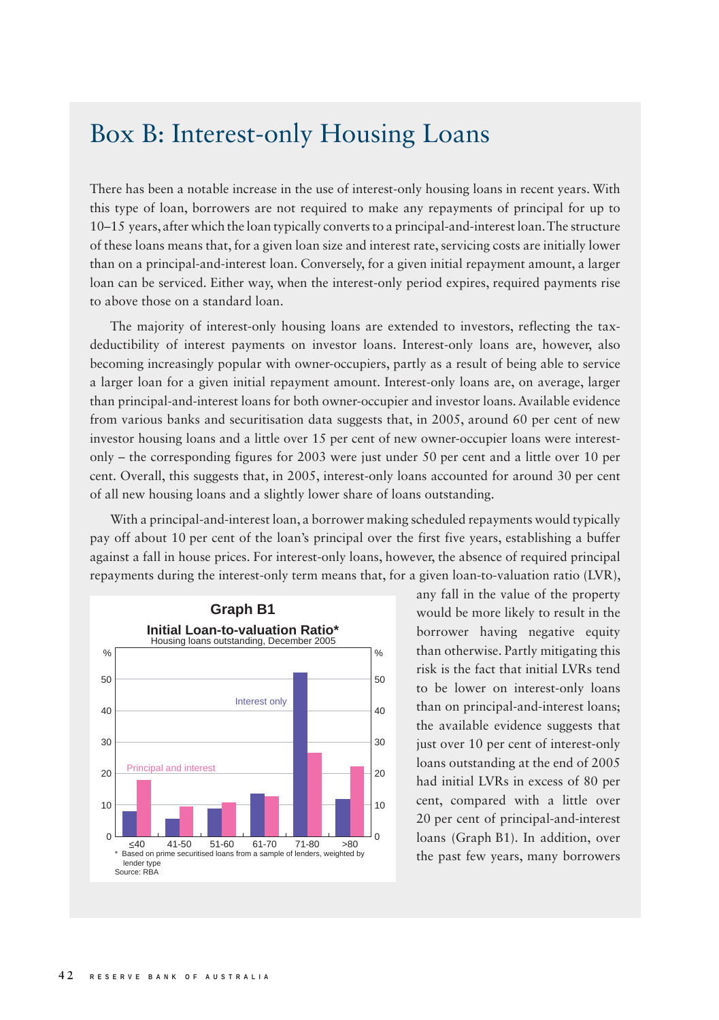## Box B: Interest-only Housing Loans

There has been a notable increase in the use of interest-only housing loans in recent years. With this type of loan, borrowers are not required to make any repayments of principal for up to 10–15 years, after which the loan typically converts to a principal-and-interest loan. The structure of these loans means that, for a given loan size and interest rate, servicing costs are initially lower than on a principal-and-interest loan. Conversely, for a given initial repayment amount, a larger loan can be serviced. Either way, when the interest-only period expires, required payments rise to above those on a standard loan.

The majority of interest-only housing loans are extended to investors, reflecting the taxdeductibility of interest payments on investor loans. Interest-only loans are, however, also becoming increasingly popular with owner-occupiers, partly as a result of being able to service a larger loan for a given initial repayment amount. Interest-only loans are, on average, larger than principal-and-interest loans for both owner-occupier and investor loans. Available evidence from various banks and securitisation data suggests that, in 2005, around 60 per cent of new investor housing loans and a little over 15 per cent of new owner-occupier loans were interestonly – the corresponding figures for 2003 were just under 50 per cent and a little over 10 per cent. Overall, this suggests that, in 2005, interest-only loans accounted for around 30 per cent of all new housing loans and a slightly lower share of loans outstanding.

With a principal-and-interest loan, a borrower making scheduled repayments would typically pay off about 10 per cent of the loan's principal over the first five years, establishing a buffer against a fall in house prices. For interest-only loans, however, the absence of required principal repayments during the interest-only term means that, for a given loan-to-valuation ratio (LVR),



any fall in the value of the property would be more likely to result in the borrower having negative equity than otherwise. Partly mitigating this risk is the fact that initial LVRs tend to be lower on interest-only loans than on principal-and-interest loans; the available evidence suggests that just over 10 per cent of interest-only loans outstanding at the end of 2005 had initial LVRs in excess of 80 per cent, compared with a little over 20 per cent of principal-and-interest loans (Graph B1). In addition, over the past few years, many borrowers